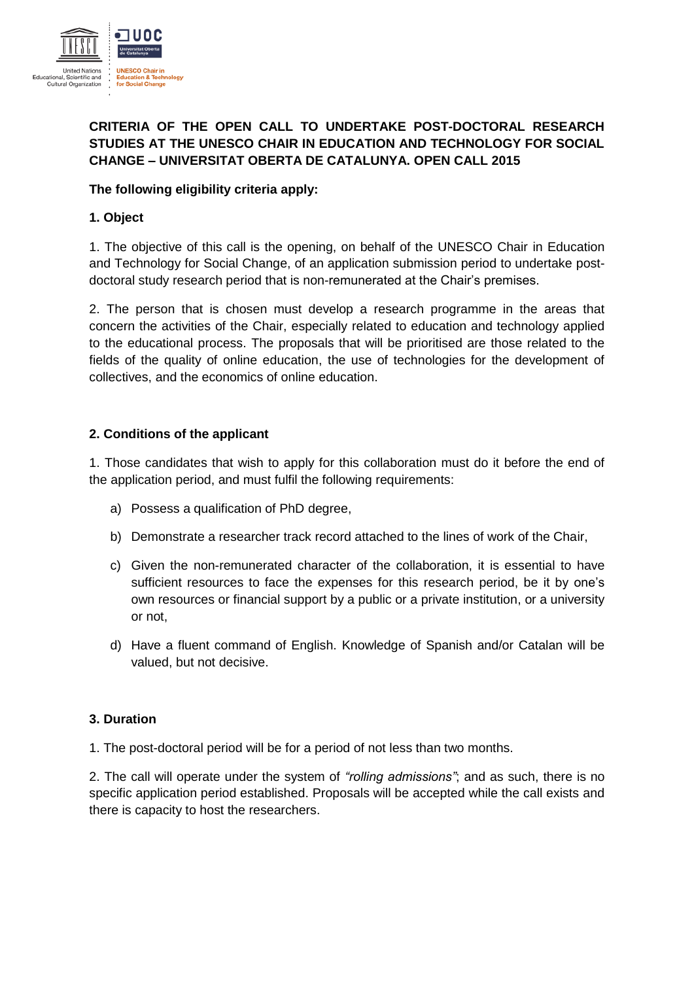

# **CRITERIA OF THE OPEN CALL TO UNDERTAKE POST-DOCTORAL RESEARCH STUDIES AT THE UNESCO CHAIR IN EDUCATION AND TECHNOLOGY FOR SOCIAL CHANGE – UNIVERSITAT OBERTA DE CATALUNYA. OPEN CALL 2015**

# **The following eligibility criteria apply:**

### **1. Object**

1. The objective of this call is the opening, on behalf of the UNESCO Chair in Education and Technology for Social Change, of an application submission period to undertake postdoctoral study research period that is non-remunerated at the Chair's premises.

2. The person that is chosen must develop a research programme in the areas that concern the activities of the Chair, especially related to education and technology applied to the educational process. The proposals that will be prioritised are those related to the fields of the quality of online education, the use of technologies for the development of collectives, and the economics of online education.

### **2. Conditions of the applicant**

1. Those candidates that wish to apply for this collaboration must do it before the end of the application period, and must fulfil the following requirements:

- a) Possess a qualification of PhD degree,
- b) Demonstrate a researcher track record attached to the lines of work of the Chair,
- c) Given the non-remunerated character of the collaboration, it is essential to have sufficient resources to face the expenses for this research period, be it by one's own resources or financial support by a public or a private institution, or a university or not,
- d) Have a fluent command of English. Knowledge of Spanish and/or Catalan will be valued, but not decisive.

### **3. Duration**

1. The post-doctoral period will be for a period of not less than two months.

2. The call will operate under the system of *"rolling admissions"*; and as such, there is no specific application period established. Proposals will be accepted while the call exists and there is capacity to host the researchers.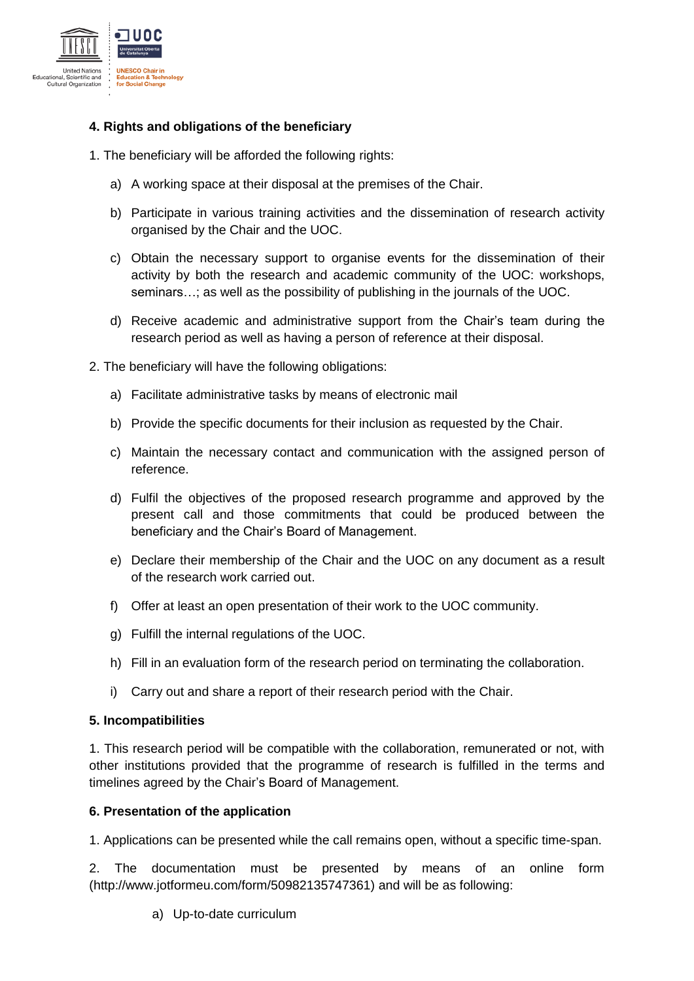

# **4. Rights and obligations of the beneficiary**

- 1. The beneficiary will be afforded the following rights:
	- a) A working space at their disposal at the premises of the Chair.
	- b) Participate in various training activities and the dissemination of research activity organised by the Chair and the UOC.
	- c) Obtain the necessary support to organise events for the dissemination of their activity by both the research and academic community of the UOC: workshops, seminars…; as well as the possibility of publishing in the journals of the UOC.
	- d) Receive academic and administrative support from the Chair's team during the research period as well as having a person of reference at their disposal.
- 2. The beneficiary will have the following obligations:
	- a) Facilitate administrative tasks by means of electronic mail
	- b) Provide the specific documents for their inclusion as requested by the Chair.
	- c) Maintain the necessary contact and communication with the assigned person of reference.
	- d) Fulfil the objectives of the proposed research programme and approved by the present call and those commitments that could be produced between the beneficiary and the Chair's Board of Management.
	- e) Declare their membership of the Chair and the UOC on any document as a result of the research work carried out.
	- f) Offer at least an open presentation of their work to the UOC community.
	- g) Fulfill the internal regulations of the UOC.
	- h) Fill in an evaluation form of the research period on terminating the collaboration.
	- i) Carry out and share a report of their research period with the Chair.

#### **5. Incompatibilities**

1. This research period will be compatible with the collaboration, remunerated or not, with other institutions provided that the programme of research is fulfilled in the terms and timelines agreed by the Chair's Board of Management.

#### **6. Presentation of the application**

1. Applications can be presented while the call remains open, without a specific time-span.

2. The documentation must be presented by means of an online form (http://www.jotformeu.com/form/50982135747361) and will be as following:

a) Up-to-date curriculum